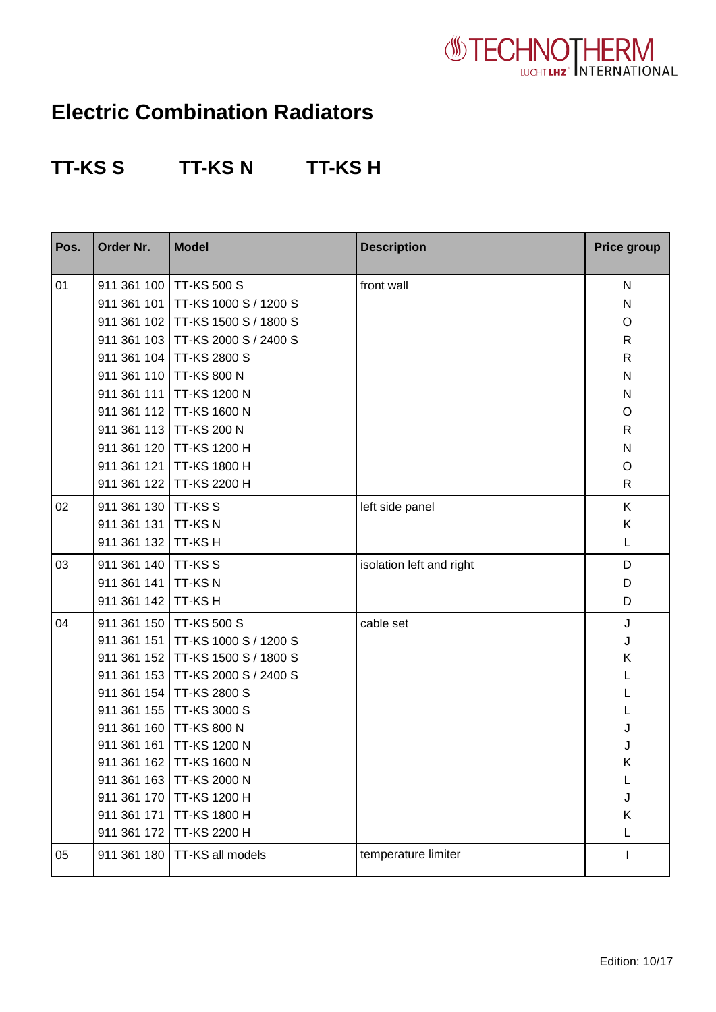

## **Electric Combination Radiators**

## **TT-KS S TT-KS N TT-KS H**

| Pos. | Order Nr.   | <b>Model</b>                      | <b>Description</b>       | <b>Price group</b>      |
|------|-------------|-----------------------------------|--------------------------|-------------------------|
| 01   | 911 361 100 | <b>TT-KS 500 S</b>                | front wall               | $\mathsf{N}$            |
|      | 911 361 101 | TT-KS 1000 S / 1200 S             |                          | ${\sf N}$               |
|      | 911 361 102 | TT-KS 1500 S / 1800 S             |                          | O                       |
|      |             | 911 361 103 TT-KS 2000 S / 2400 S |                          | $\mathsf{R}$            |
|      |             | 911 361 104 TT-KS 2800 S          |                          | $\mathsf{R}$            |
|      |             | 911 361 110 TT-KS 800 N           |                          | $\mathsf{N}$            |
|      | 911 361 111 | <b>TT-KS 1200 N</b>               |                          | ${\sf N}$               |
|      |             | 911 361 112 TT-KS 1600 N          |                          | O                       |
|      |             | 911 361 113 TT-KS 200 N           |                          | $\mathsf{R}$            |
|      | 911 361 120 | <b>TT-KS 1200 H</b>               |                          | $\overline{\mathsf{N}}$ |
|      | 911 361 121 | <b>TT-KS 1800 H</b>               |                          | $\circ$                 |
|      | 911 361 122 | TT-KS 2200 H                      |                          | $\mathsf{R}$            |
| 02   | 911 361 130 | <b>TT-KSS</b>                     | left side panel          | K                       |
|      | 911 361 131 | <b>TT-KSN</b>                     |                          | Κ                       |
|      | 911 361 132 | TT-KS H                           |                          | L                       |
| 03   | 911 361 140 | <b>TT-KSS</b>                     | isolation left and right | D                       |
|      | 911 361 141 | TT-KSN                            |                          | D                       |
|      | 911 361 142 | TT-KS H                           |                          | D                       |
| 04   | 911 361 150 | <b>TT-KS 500 S</b>                | cable set                | J                       |
|      | 911 361 151 | TT-KS 1000 S / 1200 S             |                          | J                       |
|      | 911 361 152 | TT-KS 1500 S / 1800 S             |                          | Κ                       |
|      | 911 361 153 | TT-KS 2000 S / 2400 S             |                          | L                       |
|      | 911 361 154 | <b>TT-KS 2800 S</b>               |                          | L                       |
|      | 911 361 155 | <b>TT-KS 3000 S</b>               |                          | L                       |
|      |             | 911 361 160 TT-KS 800 N           |                          | J                       |
|      | 911 361 161 | <b>TT-KS 1200 N</b>               |                          | J                       |
|      |             | 911 361 162 TT-KS 1600 N          |                          | Κ                       |
|      |             | 911 361 163 TT-KS 2000 N          |                          | L                       |
|      | 911 361 170 | TT-KS 1200 H                      |                          | J                       |
|      |             | 911 361 171 TT-KS 1800 H          |                          | Κ                       |
|      |             | 911 361 172 TT-KS 2200 H          |                          | L                       |
| 05   | 911 361 180 | TT-KS all models                  | temperature limiter      |                         |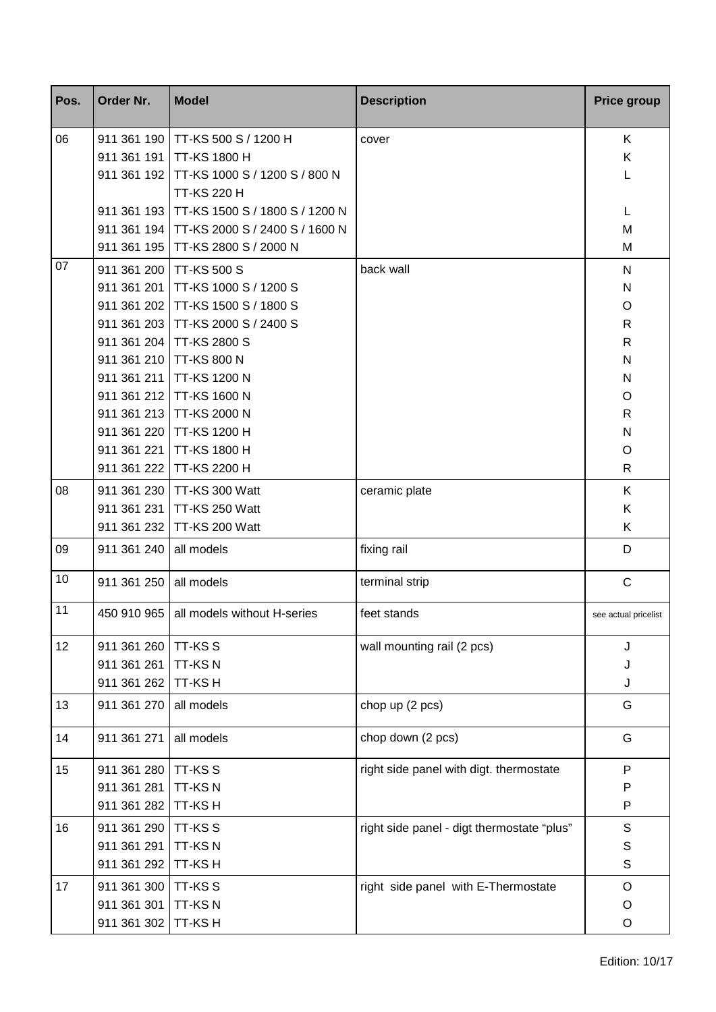| Pos. | Order Nr.   | <b>Model</b>                   | <b>Description</b>                         | <b>Price group</b>   |
|------|-------------|--------------------------------|--------------------------------------------|----------------------|
| 06   | 911 361 190 | TT-KS 500 S / 1200 H           | cover                                      | K                    |
|      | 911 361 191 | <b>TT-KS 1800 H</b>            |                                            | K                    |
|      | 911 361 192 | TT-KS 1000 S / 1200 S / 800 N  |                                            | L                    |
|      |             | <b>TT-KS 220 H</b>             |                                            |                      |
|      | 911 361 193 | TT-KS 1500 S / 1800 S / 1200 N |                                            | L                    |
|      | 911 361 194 | TT-KS 2000 S / 2400 S / 1600 N |                                            | M                    |
|      | 911 361 195 | TT-KS 2800 S / 2000 N          |                                            | M                    |
| 07   | 911 361 200 | <b>TT-KS 500 S</b>             | back wall                                  | $\mathsf{N}$         |
|      | 911 361 201 | TT-KS 1000 S / 1200 S          |                                            | ${\sf N}$            |
|      | 911 361 202 | TT-KS 1500 S / 1800 S          |                                            | O                    |
|      | 911 361 203 | TT-KS 2000 S / 2400 S          |                                            | $\mathsf{R}$         |
|      | 911 361 204 | <b>TT-KS 2800 S</b>            |                                            | $\mathsf{R}$         |
|      | 911 361 210 | <b>TT-KS 800 N</b>             |                                            | $\mathsf{N}$         |
|      | 911 361 211 | <b>TT-KS 1200 N</b>            |                                            | ${\sf N}$            |
|      | 911 361 212 | <b>TT-KS 1600 N</b>            |                                            | O                    |
|      | 911 361 213 | TT-KS 2000 N                   |                                            | $\mathsf{R}$         |
|      | 911 361 220 | <b>TT-KS 1200 H</b>            |                                            | $\mathsf{N}$         |
|      | 911 361 221 | <b>TT-KS 1800 H</b>            |                                            | $\circ$              |
|      | 911 361 222 | TT-KS 2200 H                   |                                            | $\mathsf{R}$         |
| 08   | 911 361 230 | TT-KS 300 Watt                 | ceramic plate                              | K                    |
|      | 911 361 231 | TT-KS 250 Watt                 |                                            | K                    |
|      | 911 361 232 | TT-KS 200 Watt                 |                                            | K                    |
| 09   | 911 361 240 | all models                     | fixing rail                                | D                    |
| 10   | 911 361 250 | all models                     | terminal strip                             | $\mathsf C$          |
| 11   | 450 910 965 | all models without H-series    | feet stands                                | see actual pricelist |
| 12   | 911 361 260 | <b>TT-KSS</b>                  | wall mounting rail (2 pcs)                 | J                    |
|      | 911 361 261 | <b>TT-KSN</b>                  |                                            | J                    |
|      | 911 361 262 | TT-KS H                        |                                            | J                    |
| 13   | 911 361 270 | all models                     | chop up (2 pcs)                            | G                    |
| 14   | 911 361 271 | all models                     | chop down (2 pcs)                          | G                    |
| 15   | 911 361 280 | <b>TT-KSS</b>                  | right side panel with digt. thermostate    | ${\sf P}$            |
|      | 911 361 281 | <b>TT-KSN</b>                  |                                            | P                    |
|      | 911 361 282 | TT-KS H                        |                                            | P                    |
| 16   | 911 361 290 | <b>TT-KSS</b>                  | right side panel - digt thermostate "plus" | S                    |
|      | 911 361 291 | TT-KSN                         |                                            | $\mathbb S$          |
|      | 911 361 292 | TT-KS H                        |                                            | $\mathbb S$          |
| 17   | 911 361 300 | <b>TT-KSS</b>                  | right side panel with E-Thermostate        | $\circ$              |
|      | 911 361 301 | TT-KSN                         |                                            | O                    |
|      | 911 361 302 | TT-KS H                        |                                            | O                    |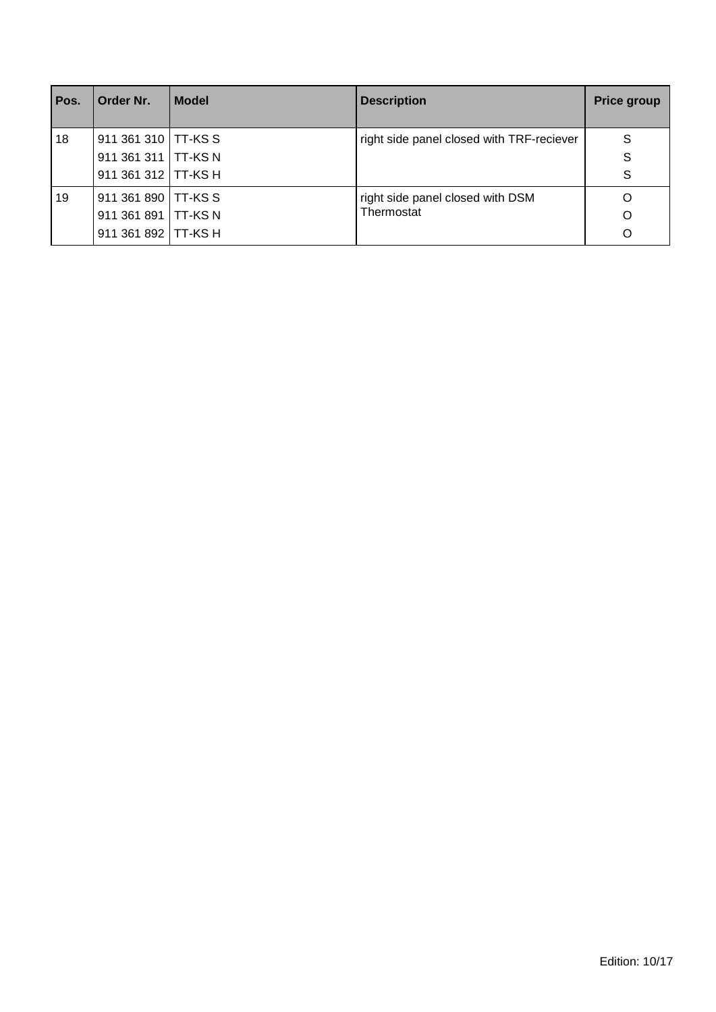| Pos. | Order Nr.             | <b>Model</b> | <b>Description</b>                             | <b>Price group</b> |
|------|-----------------------|--------------|------------------------------------------------|--------------------|
| 18   | 911 361 310   TT-KS S |              | right side panel closed with TRF-reciever      | S                  |
|      | 911 361 311   TT-KS N |              |                                                | S                  |
|      | 911 361 312   TT-KS H |              |                                                | S                  |
| 19   | 911 361 890   TT-KS S |              | right side panel closed with DSM<br>Thermostat | O                  |
|      | 911 361 891   TT-KS N |              |                                                | O                  |
|      | 911 361 892   TT-KS H |              |                                                | $\Omega$           |